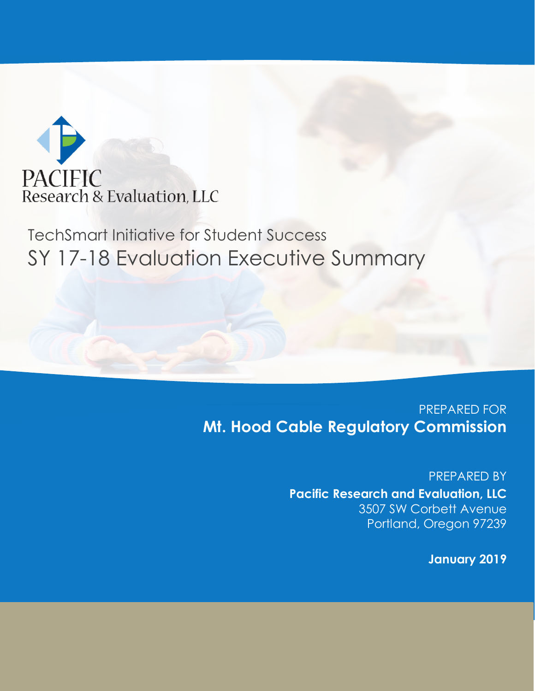

# TechSmart Initiative for Student Success SY 17-18 Evaluation Executive Summary

### PREPARED FOR **Mt. Hood Cable Regulatory Commission**

PREPARED BY **Pacific Research and Evaluation, LLC** 3507 SW Corbett Avenue Portland, Oregon 97239

**January 2019**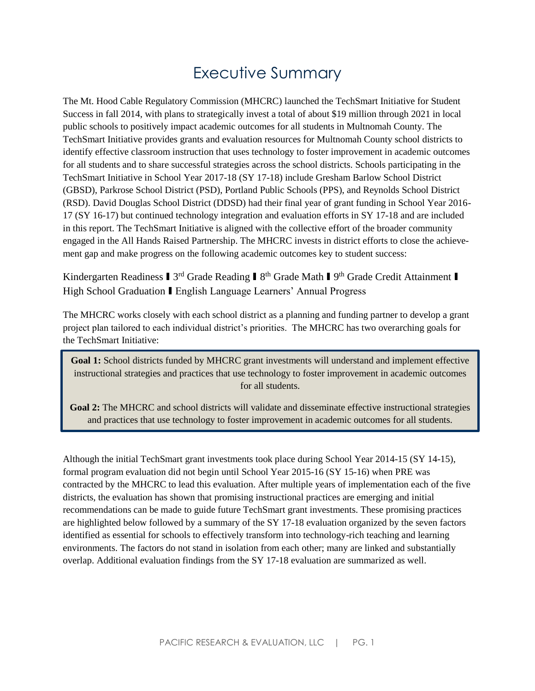### Executive Summary

The Mt. Hood Cable Regulatory Commission (MHCRC) launched the TechSmart Initiative for Student Success in fall 2014, with plans to strategically invest a total of about \$19 million through 2021 in local public schools to positively impact academic outcomes for all students in Multnomah County. The TechSmart Initiative provides grants and evaluation resources for Multnomah County school districts to identify effective classroom instruction that uses technology to foster improvement in academic outcomes for all students and to share successful strategies across the school districts. Schools participating in the TechSmart Initiative in School Year 2017-18 (SY 17-18) include Gresham Barlow School District (GBSD), Parkrose School District (PSD), Portland Public Schools (PPS), and Reynolds School District (RSD). David Douglas School District (DDSD) had their final year of grant funding in School Year 2016- 17 (SY 16-17) but continued technology integration and evaluation efforts in SY 17-18 and are included in this report. The TechSmart Initiative is aligned with the collective effort of the broader community engaged in the All Hands Raised Partnership. The MHCRC invests in district efforts to close the achievement gap and make progress on the following academic outcomes key to student success:

Kindergarten Readiness I 3<sup>rd</sup> Grade Reading I 8<sup>th</sup> Grade Math I 9<sup>th</sup> Grade Credit Attainment I High School Graduation I English Language Learners' Annual Progress

The MHCRC works closely with each school district as a planning and funding partner to develop a grant project plan tailored to each individual district's priorities. The MHCRC has two overarching goals for the TechSmart Initiative:

**Goal 1:** School districts funded by MHCRC grant investments will understand and implement effective instructional strategies and practices that use technology to foster improvement in academic outcomes for all students.

**Goal 2:** The MHCRC and school districts will validate and disseminate effective instructional strategies and practices that use technology to foster improvement in academic outcomes for all students.

Although the initial TechSmart grant investments took place during School Year 2014-15 (SY 14-15), formal program evaluation did not begin until School Year 2015-16 (SY 15-16) when PRE was contracted by the MHCRC to lead this evaluation. After multiple years of implementation each of the five districts, the evaluation has shown that promising instructional practices are emerging and initial recommendations can be made to guide future TechSmart grant investments. These promising practices are highlighted below followed by a summary of the SY 17-18 evaluation organized by the seven factors identified as essential for schools to effectively transform into technology-rich teaching and learning environments. The factors do not stand in isolation from each other; many are linked and substantially overlap. Additional evaluation findings from the SY 17-18 evaluation are summarized as well.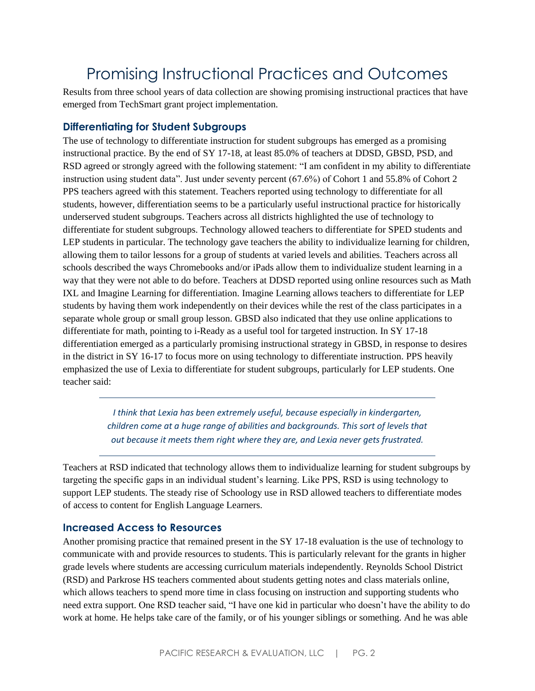## Promising Instructional Practices and Outcomes

Results from three school years of data collection are showing promising instructional practices that have emerged from TechSmart grant project implementation.

#### **Differentiating for Student Subgroups**

The use of technology to differentiate instruction for student subgroups has emerged as a promising instructional practice. By the end of SY 17-18, at least 85.0% of teachers at DDSD, GBSD, PSD, and RSD agreed or strongly agreed with the following statement: "I am confident in my ability to differentiate instruction using student data". Just under seventy percent (67.6%) of Cohort 1 and 55.8% of Cohort 2 PPS teachers agreed with this statement. Teachers reported using technology to differentiate for all students, however, differentiation seems to be a particularly useful instructional practice for historically underserved student subgroups. Teachers across all districts highlighted the use of technology to differentiate for student subgroups. Technology allowed teachers to differentiate for SPED students and LEP students in particular. The technology gave teachers the ability to individualize learning for children, allowing them to tailor lessons for a group of students at varied levels and abilities. Teachers across all schools described the ways Chromebooks and/or iPads allow them to individualize student learning in a way that they were not able to do before. Teachers at DDSD reported using online resources such as Math IXL and Imagine Learning for differentiation. Imagine Learning allows teachers to differentiate for LEP students by having them work independently on their devices while the rest of the class participates in a separate whole group or small group lesson. GBSD also indicated that they use online applications to differentiate for math, pointing to i-Ready as a useful tool for targeted instruction. In SY 17-18 differentiation emerged as a particularly promising instructional strategy in GBSD, in response to desires in the district in SY 16-17 to focus more on using technology to differentiate instruction. PPS heavily emphasized the use of Lexia to differentiate for student subgroups, particularly for LEP students. One teacher said:

> *I think that Lexia has been extremely useful, because especially in kindergarten, children come at a huge range of abilities and backgrounds. This sort of levels that out because it meets them right where they are, and Lexia never gets frustrated.*

Teachers at RSD indicated that technology allows them to individualize learning for student subgroups by targeting the specific gaps in an individual student's learning. Like PPS, RSD is using technology to support LEP students. The steady rise of Schoology use in RSD allowed teachers to differentiate modes of access to content for English Language Learners.

#### **Increased Access to Resources**

Another promising practice that remained present in the SY 17-18 evaluation is the use of technology to communicate with and provide resources to students. This is particularly relevant for the grants in higher grade levels where students are accessing curriculum materials independently. Reynolds School District (RSD) and Parkrose HS teachers commented about students getting notes and class materials online, which allows teachers to spend more time in class focusing on instruction and supporting students who need extra support. One RSD teacher said, "I have one kid in particular who doesn't have the ability to do work at home. He helps take care of the family, or of his younger siblings or something. And he was able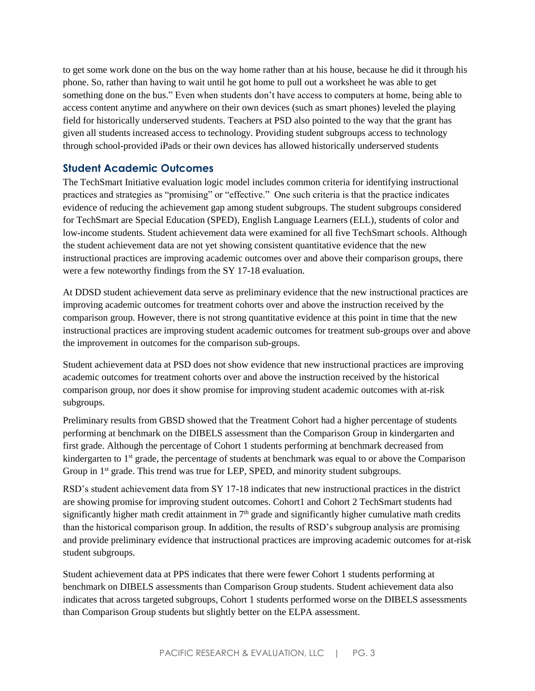to get some work done on the bus on the way home rather than at his house, because he did it through his phone. So, rather than having to wait until he got home to pull out a worksheet he was able to get something done on the bus." Even when students don't have access to computers at home, being able to access content anytime and anywhere on their own devices (such as smart phones) leveled the playing field for historically underserved students. Teachers at PSD also pointed to the way that the grant has given all students increased access to technology. Providing student subgroups access to technology through school-provided iPads or their own devices has allowed historically underserved students

#### **Student Academic Outcomes**

The TechSmart Initiative evaluation logic model includes common criteria for identifying instructional practices and strategies as "promising" or "effective." One such criteria is that the practice indicates evidence of reducing the achievement gap among student subgroups. The student subgroups considered for TechSmart are Special Education (SPED), English Language Learners (ELL), students of color and low-income students. Student achievement data were examined for all five TechSmart schools. Although the student achievement data are not yet showing consistent quantitative evidence that the new instructional practices are improving academic outcomes over and above their comparison groups, there were a few noteworthy findings from the SY 17-18 evaluation.

At DDSD student achievement data serve as preliminary evidence that the new instructional practices are improving academic outcomes for treatment cohorts over and above the instruction received by the comparison group. However, there is not strong quantitative evidence at this point in time that the new instructional practices are improving student academic outcomes for treatment sub-groups over and above the improvement in outcomes for the comparison sub-groups.

Student achievement data at PSD does not show evidence that new instructional practices are improving academic outcomes for treatment cohorts over and above the instruction received by the historical comparison group, nor does it show promise for improving student academic outcomes with at-risk subgroups.

Preliminary results from GBSD showed that the Treatment Cohort had a higher percentage of students performing at benchmark on the DIBELS assessment than the Comparison Group in kindergarten and first grade. Although the percentage of Cohort 1 students performing at benchmark decreased from kindergarten to  $1<sup>st</sup>$  grade, the percentage of students at benchmark was equal to or above the Comparison Group in 1<sup>st</sup> grade. This trend was true for LEP, SPED, and minority student subgroups.

RSD's student achievement data from SY 17-18 indicates that new instructional practices in the district are showing promise for improving student outcomes. Cohort1 and Cohort 2 TechSmart students had significantly higher math credit attainment in  $7<sup>th</sup>$  grade and significantly higher cumulative math credits than the historical comparison group. In addition, the results of RSD's subgroup analysis are promising and provide preliminary evidence that instructional practices are improving academic outcomes for at-risk student subgroups.

Student achievement data at PPS indicates that there were fewer Cohort 1 students performing at benchmark on DIBELS assessments than Comparison Group students. Student achievement data also indicates that across targeted subgroups, Cohort 1 students performed worse on the DIBELS assessments than Comparison Group students but slightly better on the ELPA assessment.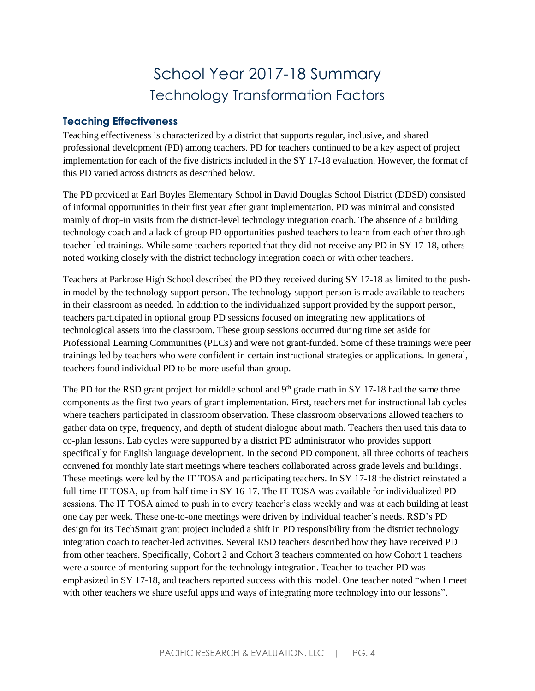### School Year 2017-18 Summary Technology Transformation Factors

#### **Teaching Effectiveness**

Teaching effectiveness is characterized by a district that supports regular, inclusive, and shared professional development (PD) among teachers. PD for teachers continued to be a key aspect of project implementation for each of the five districts included in the SY 17-18 evaluation. However, the format of this PD varied across districts as described below.

The PD provided at Earl Boyles Elementary School in David Douglas School District (DDSD) consisted of informal opportunities in their first year after grant implementation. PD was minimal and consisted mainly of drop-in visits from the district-level technology integration coach. The absence of a building technology coach and a lack of group PD opportunities pushed teachers to learn from each other through teacher-led trainings. While some teachers reported that they did not receive any PD in SY 17-18, others noted working closely with the district technology integration coach or with other teachers.

Teachers at Parkrose High School described the PD they received during SY 17-18 as limited to the pushin model by the technology support person. The technology support person is made available to teachers in their classroom as needed. In addition to the individualized support provided by the support person, teachers participated in optional group PD sessions focused on integrating new applications of technological assets into the classroom. These group sessions occurred during time set aside for Professional Learning Communities (PLCs) and were not grant-funded. Some of these trainings were peer trainings led by teachers who were confident in certain instructional strategies or applications. In general, teachers found individual PD to be more useful than group.

The PD for the RSD grant project for middle school and  $9<sup>th</sup>$  grade math in SY 17-18 had the same three components as the first two years of grant implementation. First, teachers met for instructional lab cycles where teachers participated in classroom observation. These classroom observations allowed teachers to gather data on type, frequency, and depth of student dialogue about math. Teachers then used this data to co-plan lessons. Lab cycles were supported by a district PD administrator who provides support specifically for English language development. In the second PD component, all three cohorts of teachers convened for monthly late start meetings where teachers collaborated across grade levels and buildings. These meetings were led by the IT TOSA and participating teachers. In SY 17-18 the district reinstated a full-time IT TOSA, up from half time in SY 16-17. The IT TOSA was available for individualized PD sessions. The IT TOSA aimed to push in to every teacher's class weekly and was at each building at least one day per week. These one-to-one meetings were driven by individual teacher's needs. RSD's PD design for its TechSmart grant project included a shift in PD responsibility from the district technology integration coach to teacher-led activities. Several RSD teachers described how they have received PD from other teachers. Specifically, Cohort 2 and Cohort 3 teachers commented on how Cohort 1 teachers were a source of mentoring support for the technology integration. Teacher-to-teacher PD was emphasized in SY 17-18, and teachers reported success with this model. One teacher noted "when I meet with other teachers we share useful apps and ways of integrating more technology into our lessons".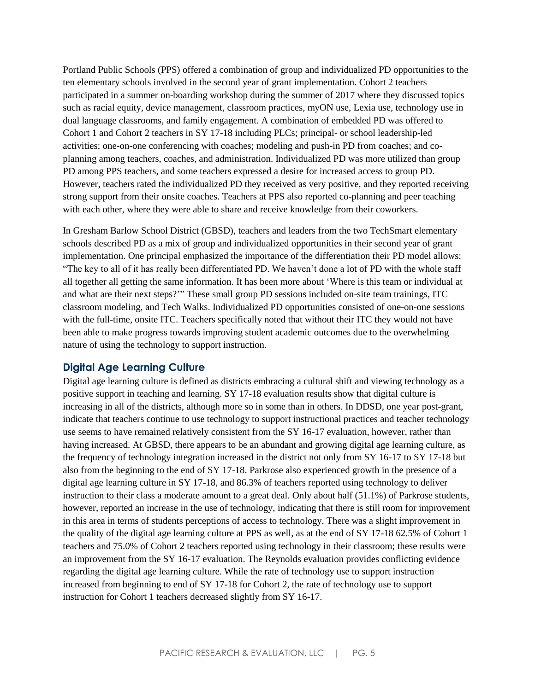Portland Public Schools (PPS) offered a combination of group and individualized PD opportunities to the ten elementary schools involved in the second year of grant implementation. Cohort 2 teachers participated in a summer on-boarding workshop during the summer of 2017 where they discussed topics such as racial equity, device management, classroom practices, myON use, Lexia use, technology use in dual language classrooms, and family engagement. A combination of embedded PD was offered to Cohort 1 and Cohort 2 teachers in SY 17-18 including PLCs; principal- or school leadership-led activities; one-on-one conferencing with coaches; modeling and push-in PD from coaches; and coplanning among teachers, coaches, and administration. Individualized PD was more utilized than group PD among PPS teachers, and some teachers expressed a desire for increased access to group PD. However, teachers rated the individualized PD they received as very positive, and they reported receiving strong support from their onsite coaches. Teachers at PPS also reported co-planning and peer teaching with each other, where they were able to share and receive knowledge from their coworkers.

In Gresham Barlow School District (GBSD), teachers and leaders from the two TechSmart elementary schools described PD as a mix of group and individualized opportunities in their second year of grant implementation. One principal emphasized the importance of the differentiation their PD model allows: "The key to all of it has really been differentiated PD. We haven't done a lot of PD with the whole staff all together all getting the same information. It has been more about 'Where is this team or individual at and what are their next steps?'" These small group PD sessions included on-site team trainings, ITC classroom modeling, and Tech Walks. Individualized PD opportunities consisted of one-on-one sessions with the full-time, onsite ITC. Teachers specifically noted that without their ITC they would not have been able to make progress towards improving student academic outcomes due to the overwhelming nature of using the technology to support instruction.

#### **Digital Age Learning Culture**

Digital age learning culture is defined as districts embracing a cultural shift and viewing technology as a positive support in teaching and learning. SY 17-18 evaluation results show that digital culture is increasing in all of the districts, although more so in some than in others. In DDSD, one year post-grant, indicate that teachers continue to use technology to support instructional practices and teacher technology use seems to have remained relatively consistent from the SY 16-17 evaluation, however, rather than having increased. At GBSD, there appears to be an abundant and growing digital age learning culture, as the frequency of technology integration increased in the district not only from SY 16-17 to SY 17-18 but also from the beginning to the end of SY 17-18. Parkrose also experienced growth in the presence of a digital age learning culture in SY 17-18, and 86.3% of teachers reported using technology to deliver instruction to their class a moderate amount to a great deal. Only about half (51.1%) of Parkrose students, however, reported an increase in the use of technology, indicating that there is still room for improvement in this area in terms of students perceptions of access to technology. There was a slight improvement in the quality of the digital age learning culture at PPS as well, as at the end of SY 17-18 62.5% of Cohort 1 teachers and 75.0% of Cohort 2 teachers reported using technology in their classroom; these results were an improvement from the SY 16-17 evaluation. The Reynolds evaluation provides conflicting evidence regarding the digital age learning culture. While the rate of technology use to support instruction increased from beginning to end of SY 17-18 for Cohort 2, the rate of technology use to support instruction for Cohort 1 teachers decreased slightly from SY 16-17.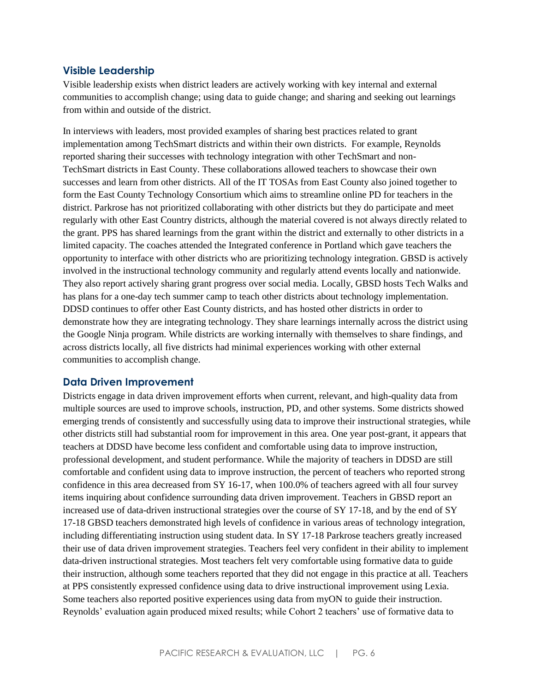#### **Visible Leadership**

Visible leadership exists when district leaders are actively working with key internal and external communities to accomplish change; using data to guide change; and sharing and seeking out learnings from within and outside of the district.

In interviews with leaders, most provided examples of sharing best practices related to grant implementation among TechSmart districts and within their own districts. For example, Reynolds reported sharing their successes with technology integration with other TechSmart and non-TechSmart districts in East County. These collaborations allowed teachers to showcase their own successes and learn from other districts. All of the IT TOSAs from East County also joined together to form the East County Technology Consortium which aims to streamline online PD for teachers in the district. Parkrose has not prioritized collaborating with other districts but they do participate and meet regularly with other East Country districts, although the material covered is not always directly related to the grant. PPS has shared learnings from the grant within the district and externally to other districts in a limited capacity. The coaches attended the Integrated conference in Portland which gave teachers the opportunity to interface with other districts who are prioritizing technology integration. GBSD is actively involved in the instructional technology community and regularly attend events locally and nationwide. They also report actively sharing grant progress over social media. Locally, GBSD hosts Tech Walks and has plans for a one-day tech summer camp to teach other districts about technology implementation. DDSD continues to offer other East County districts, and has hosted other districts in order to demonstrate how they are integrating technology. They share learnings internally across the district using the Google Ninja program. While districts are working internally with themselves to share findings, and across districts locally, all five districts had minimal experiences working with other external communities to accomplish change.

#### **Data Driven Improvement**

Districts engage in data driven improvement efforts when current, relevant, and high-quality data from multiple sources are used to improve schools, instruction, PD, and other systems. Some districts showed emerging trends of consistently and successfully using data to improve their instructional strategies, while other districts still had substantial room for improvement in this area. One year post-grant, it appears that teachers at DDSD have become less confident and comfortable using data to improve instruction, professional development, and student performance. While the majority of teachers in DDSD are still comfortable and confident using data to improve instruction, the percent of teachers who reported strong confidence in this area decreased from SY 16-17, when 100.0% of teachers agreed with all four survey items inquiring about confidence surrounding data driven improvement. Teachers in GBSD report an increased use of data-driven instructional strategies over the course of SY 17-18, and by the end of SY 17-18 GBSD teachers demonstrated high levels of confidence in various areas of technology integration, including differentiating instruction using student data. In SY 17-18 Parkrose teachers greatly increased their use of data driven improvement strategies. Teachers feel very confident in their ability to implement data-driven instructional strategies. Most teachers felt very comfortable using formative data to guide their instruction, although some teachers reported that they did not engage in this practice at all. Teachers at PPS consistently expressed confidence using data to drive instructional improvement using Lexia. Some teachers also reported positive experiences using data from myON to guide their instruction. Reynolds' evaluation again produced mixed results; while Cohort 2 teachers' use of formative data to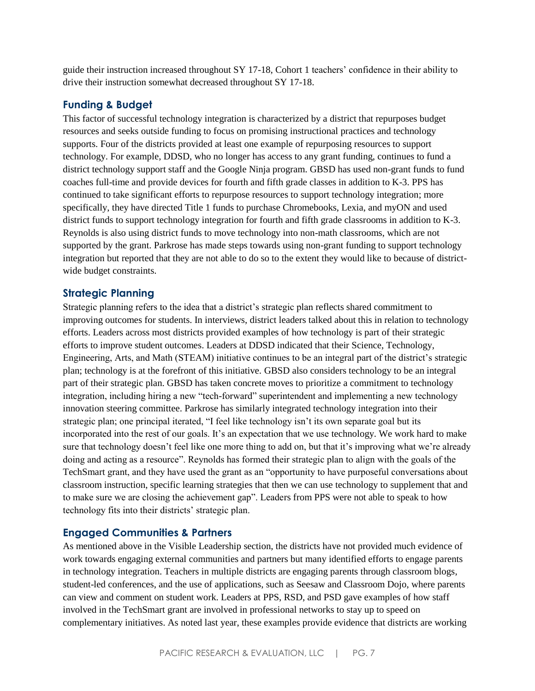guide their instruction increased throughout SY 17-18, Cohort 1 teachers' confidence in their ability to drive their instruction somewhat decreased throughout SY 17-18.

#### **Funding & Budget**

This factor of successful technology integration is characterized by a district that repurposes budget resources and seeks outside funding to focus on promising instructional practices and technology supports. Four of the districts provided at least one example of repurposing resources to support technology. For example, DDSD, who no longer has access to any grant funding, continues to fund a district technology support staff and the Google Ninja program. GBSD has used non-grant funds to fund coaches full-time and provide devices for fourth and fifth grade classes in addition to K-3. PPS has continued to take significant efforts to repurpose resources to support technology integration; more specifically, they have directed Title 1 funds to purchase Chromebooks, Lexia, and myON and used district funds to support technology integration for fourth and fifth grade classrooms in addition to K-3. Reynolds is also using district funds to move technology into non-math classrooms, which are not supported by the grant. Parkrose has made steps towards using non-grant funding to support technology integration but reported that they are not able to do so to the extent they would like to because of districtwide budget constraints.

#### **Strategic Planning**

Strategic planning refers to the idea that a district's strategic plan reflects shared commitment to improving outcomes for students. In interviews, district leaders talked about this in relation to technology efforts. Leaders across most districts provided examples of how technology is part of their strategic efforts to improve student outcomes. Leaders at DDSD indicated that their Science, Technology, Engineering, Arts, and Math (STEAM) initiative continues to be an integral part of the district's strategic plan; technology is at the forefront of this initiative. GBSD also considers technology to be an integral part of their strategic plan. GBSD has taken concrete moves to prioritize a commitment to technology integration, including hiring a new "tech-forward" superintendent and implementing a new technology innovation steering committee. Parkrose has similarly integrated technology integration into their strategic plan; one principal iterated, "I feel like technology isn't its own separate goal but its incorporated into the rest of our goals. It's an expectation that we use technology. We work hard to make sure that technology doesn't feel like one more thing to add on, but that it's improving what we're already doing and acting as a resource". Reynolds has formed their strategic plan to align with the goals of the TechSmart grant, and they have used the grant as an "opportunity to have purposeful conversations about classroom instruction, specific learning strategies that then we can use technology to supplement that and to make sure we are closing the achievement gap". Leaders from PPS were not able to speak to how technology fits into their districts' strategic plan.

#### **Engaged Communities & Partners**

As mentioned above in the Visible Leadership section, the districts have not provided much evidence of work towards engaging external communities and partners but many identified efforts to engage parents in technology integration. Teachers in multiple districts are engaging parents through classroom blogs, student-led conferences, and the use of applications, such as Seesaw and Classroom Dojo, where parents can view and comment on student work. Leaders at PPS, RSD, and PSD gave examples of how staff involved in the TechSmart grant are involved in professional networks to stay up to speed on complementary initiatives. As noted last year, these examples provide evidence that districts are working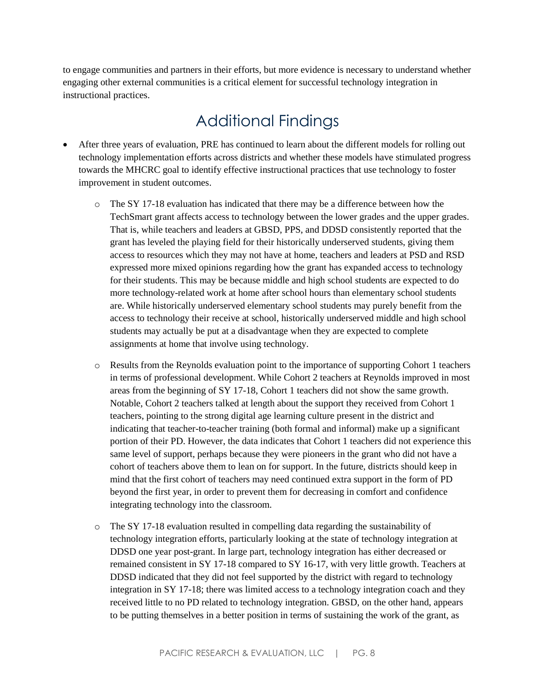to engage communities and partners in their efforts, but more evidence is necessary to understand whether engaging other external communities is a critical element for successful technology integration in instructional practices.

### Additional Findings

- After three years of evaluation, PRE has continued to learn about the different models for rolling out technology implementation efforts across districts and whether these models have stimulated progress towards the MHCRC goal to identify effective instructional practices that use technology to foster improvement in student outcomes.
	- $\circ$  The SY 17-18 evaluation has indicated that there may be a difference between how the TechSmart grant affects access to technology between the lower grades and the upper grades. That is, while teachers and leaders at GBSD, PPS, and DDSD consistently reported that the grant has leveled the playing field for their historically underserved students, giving them access to resources which they may not have at home, teachers and leaders at PSD and RSD expressed more mixed opinions regarding how the grant has expanded access to technology for their students. This may be because middle and high school students are expected to do more technology-related work at home after school hours than elementary school students are. While historically underserved elementary school students may purely benefit from the access to technology their receive at school, historically underserved middle and high school students may actually be put at a disadvantage when they are expected to complete assignments at home that involve using technology.
	- o Results from the Reynolds evaluation point to the importance of supporting Cohort 1 teachers in terms of professional development. While Cohort 2 teachers at Reynolds improved in most areas from the beginning of SY 17-18, Cohort 1 teachers did not show the same growth. Notable, Cohort 2 teachers talked at length about the support they received from Cohort 1 teachers, pointing to the strong digital age learning culture present in the district and indicating that teacher-to-teacher training (both formal and informal) make up a significant portion of their PD. However, the data indicates that Cohort 1 teachers did not experience this same level of support, perhaps because they were pioneers in the grant who did not have a cohort of teachers above them to lean on for support. In the future, districts should keep in mind that the first cohort of teachers may need continued extra support in the form of PD beyond the first year, in order to prevent them for decreasing in comfort and confidence integrating technology into the classroom.
	- o The SY 17-18 evaluation resulted in compelling data regarding the sustainability of technology integration efforts, particularly looking at the state of technology integration at DDSD one year post-grant. In large part, technology integration has either decreased or remained consistent in SY 17-18 compared to SY 16-17, with very little growth. Teachers at DDSD indicated that they did not feel supported by the district with regard to technology integration in SY 17-18; there was limited access to a technology integration coach and they received little to no PD related to technology integration. GBSD, on the other hand, appears to be putting themselves in a better position in terms of sustaining the work of the grant, as